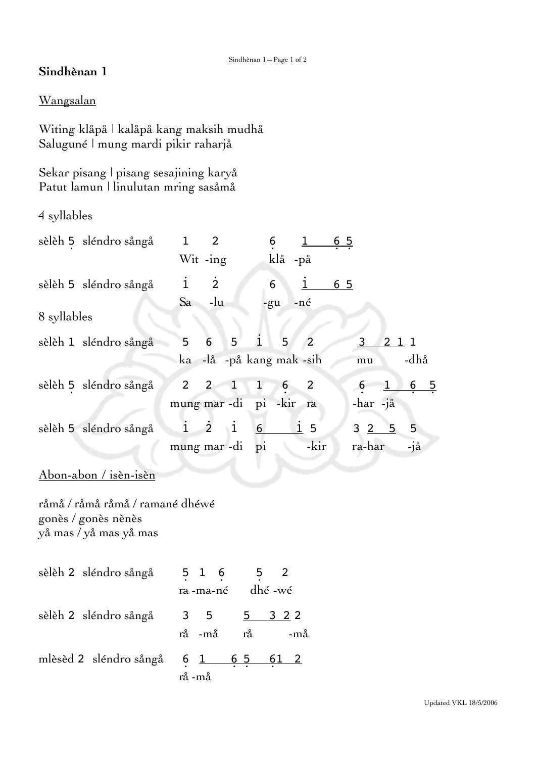## **Sindhènan 1**

## Wangsalan

Witing klåpå | kalåpå kang maksih mudhå Saluguné | mung mardi pikir raharjå

Sekar pisang | pisang sesajining karyå Patut lamun | linulutan mring sasåmå

4 syllables

| sèlèh 5 sléndro sångå                                                            | $\overline{2}$<br>$\mathbf{1}$<br>$Wit -ing$                        | 6<br>65<br>$\perp$<br>klå -på                                |                                                   |
|----------------------------------------------------------------------------------|---------------------------------------------------------------------|--------------------------------------------------------------|---------------------------------------------------|
| sèlèh 5 sléndro sångå                                                            | $\dot{2}$<br>$\dot{1}$<br>$-lu$<br>Sa                               | 6<br>$\overline{1}$<br>65<br>-né                             |                                                   |
| 8 syllables                                                                      |                                                                     | -gu                                                          |                                                   |
| sèlèh 1 sléndro sångå                                                            | 5<br>5<br>6<br>ka                                                   | $\mathbf{i}$<br>5<br>$\overline{2}$<br>-lå -på kang mak -sih | $\overline{\mathbf{3}}$<br>211<br>-dhå<br>mu      |
| sèlèh 5 sléndro sångå                                                            | $\overline{2}$<br>$\mathbf{1}$<br>$\overline{2}$<br>mung mar -di pi | $\mathbf{1}$<br>6<br>2<br>-kir<br>ra                         | $6\overline{6}$<br>65<br>$\mathbf{1}$<br>-har -jå |
| sèlèh 5 sléndro sångå                                                            | $\mathbf{1}$<br>$\dot{2}$<br>$\overline{1}$<br>mung mar -di         | $\mathbf{i}$<br>6<br>5<br>-kir<br>$\mathbf{p}$ i             | 5<br>3 <sup>2</sup><br>5<br>ra-har<br>-jå         |
| Abon-abon / isèn-isèn                                                            |                                                                     |                                                              |                                                   |
| råmå / råmå råmå / ramané dhéwé<br>gonès / gonès nènès<br>yå mas / yå mas yå mas |                                                                     |                                                              |                                                   |
| sèlèh 2 sléndro sångå                                                            | $5 \t1 \t6 \t5$<br>ra-ma-né dhé-wé                                  | 2                                                            |                                                   |
| sèlèh 2 sléndro sångå                                                            | 3<br>5<br>-må<br>$\mathring{\mathrm{ra}}$<br>rå                     | 5<br>3 2 2<br>-må                                            |                                                   |
| mlèsèd 2 sléndro sångå                                                           | $6 \t1 \t65$<br>rå -må                                              | <u>61 2</u>                                                  |                                                   |